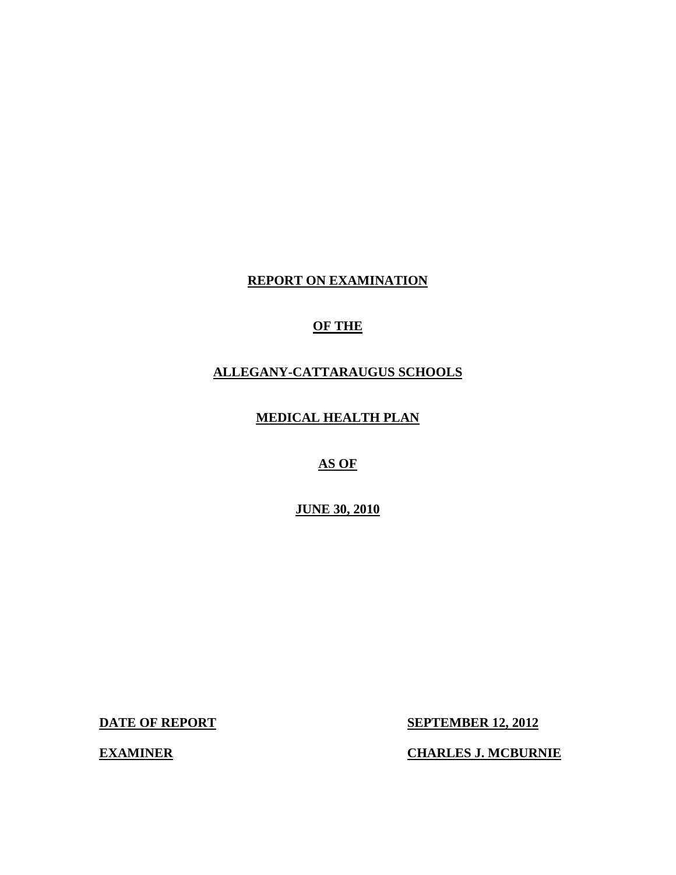# **REPORT ON EXAMINATION**

# **OF THE**

# **ALLEGANY-CATTARAUGUS SCHOOLS**

**MEDICAL HEALTH PLAN** 

**AS OF** 

**JUNE 30, 2010** 

**DATE OF REPORT** 

**SEPTEMBER 12, 2012** 

**CHARLES J. MCBURNIE** 

**EXAMINER**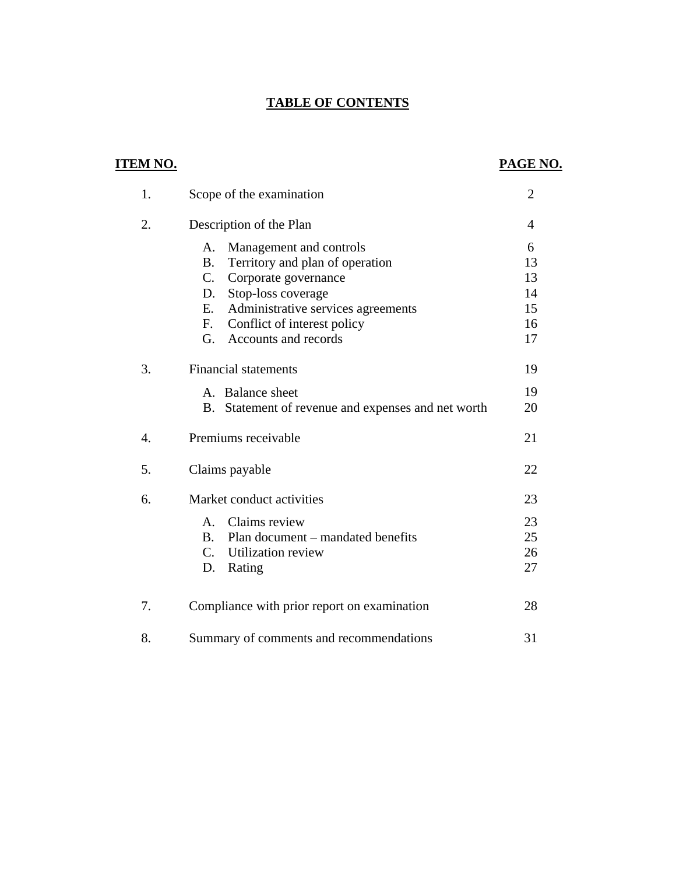# **TABLE OF CONTENTS**

| <b>ITEM NO.</b>  |                                                              | PAGE NO.       |
|------------------|--------------------------------------------------------------|----------------|
| 1.               | Scope of the examination                                     | $\overline{2}$ |
| 2.               | Description of the Plan                                      | $\overline{4}$ |
|                  | Management and controls<br>А.                                | 6              |
|                  | Territory and plan of operation<br><b>B.</b>                 | 13             |
|                  | C. Corporate governance                                      | 13             |
|                  | Stop-loss coverage<br>D.                                     | 14             |
|                  | Administrative services agreements<br>Ε.                     | 15             |
|                  | Conflict of interest policy<br>$F_{\cdot}$                   | 16             |
|                  | Accounts and records<br>G.                                   | 17             |
| 3.               | <b>Financial statements</b>                                  | 19             |
|                  | A. Balance sheet                                             | 19             |
|                  | Statement of revenue and expenses and net worth<br><b>B.</b> | 20             |
| $\overline{4}$ . | Premiums receivable                                          | 21             |
| 5.               | Claims payable                                               | 22             |
| 6.               | Market conduct activities                                    | 23             |
|                  | Claims review<br>A.                                          | 23             |
|                  | Plan document – mandated benefits<br><b>B.</b>               | 25             |
|                  | $C_{\cdot}$<br>Utilization review                            | 26             |
|                  | D.<br>Rating                                                 | 27             |
| 7.               | Compliance with prior report on examination                  | 28             |
| 8.               | Summary of comments and recommendations                      | 31             |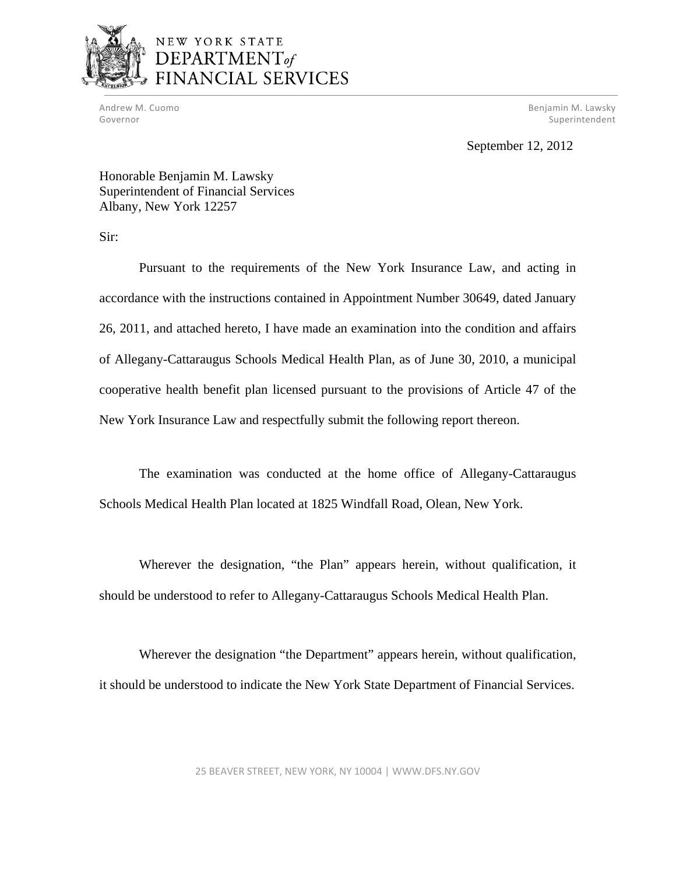

# NEW YORK STATE DEPARTMENT<sub>of</sub> FINANCIAL SERVICES

 Andrew M. Cuomo Benjamin M. Lawsky Governor Superintendent Controller Controller Controller Controller Controller Controller Controller Controller

September 12, 2012

Honorable Benjamin M. Lawsky Superintendent of Financial Services Albany, New York 12257

Sir:

Pursuant to the requirements of the New York Insurance Law, and acting in accordance with the instructions contained in Appointment Number 30649, dated January 26, 2011, and attached hereto, I have made an examination into the condition and affairs of Allegany-Cattaraugus Schools Medical Health Plan, as of June 30, 2010, a municipal cooperative health benefit plan licensed pursuant to the provisions of Article 47 of the New York Insurance Law and respectfully submit the following report thereon.

The examination was conducted at the home office of Allegany-Cattaraugus Schools Medical Health Plan located at 1825 Windfall Road, Olean, New York.

Wherever the designation, "the Plan" appears herein, without qualification, it should be understood to refer to Allegany-Cattaraugus Schools Medical Health Plan.

Wherever the designation "the Department" appears herein, without qualification, it should be understood to indicate the New York State Department of Financial Services.

25 BEAVER STREET, NEW YORK, NY 10004 | <WWW.DFS.NY.GOV>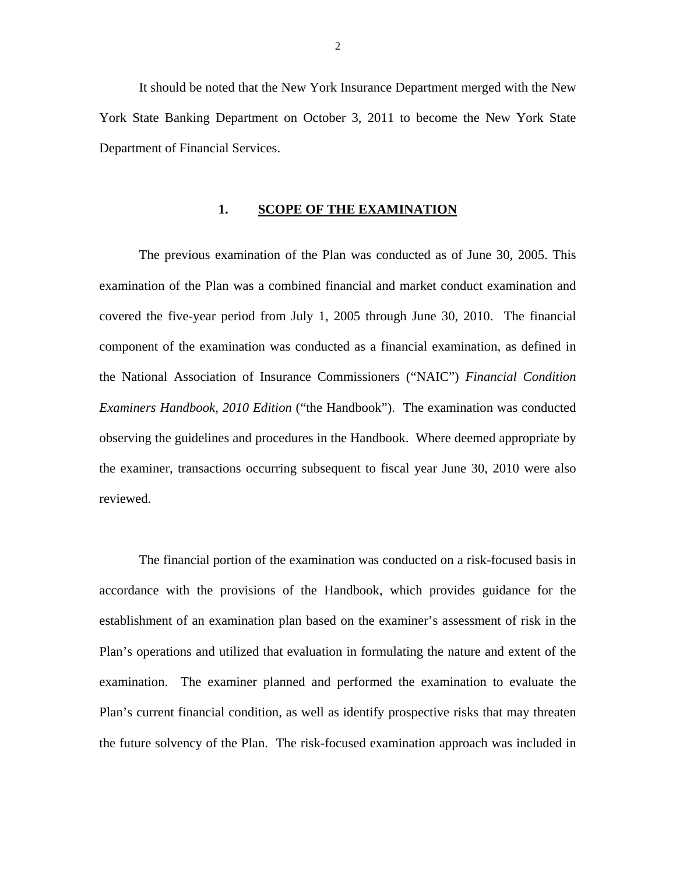It should be noted that the New York Insurance Department merged with the New York State Banking Department on October 3, 2011 to become the New York State Department of Financial Services.

### 1. SCOPE OF THE EXAMINATION

The previous examination of the Plan was conducted as of June 30, 2005. This examination of the Plan was a combined financial and market conduct examination and covered the five-year period from July 1, 2005 through June 30, 2010. The financial component of the examination was conducted as a financial examination, as defined in the National Association of Insurance Commissioners ("NAIC") *Financial Condition Examiners Handbook, 2010 Edition* ("the Handbook"). The examination was conducted observing the guidelines and procedures in the Handbook. Where deemed appropriate by the examiner, transactions occurring subsequent to fiscal year June 30, 2010 were also reviewed.

The financial portion of the examination was conducted on a risk-focused basis in accordance with the provisions of the Handbook, which provides guidance for the establishment of an examination plan based on the examiner's assessment of risk in the Plan's operations and utilized that evaluation in formulating the nature and extent of the examination. The examiner planned and performed the examination to evaluate the Plan's current financial condition, as well as identify prospective risks that may threaten the future solvency of the Plan. The risk-focused examination approach was included in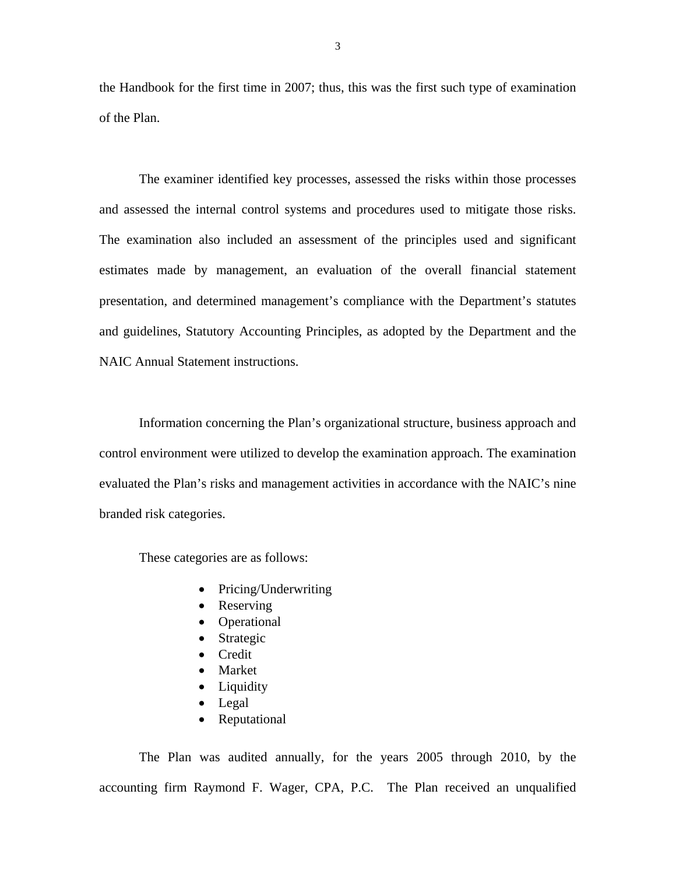the Handbook for the first time in 2007; thus, this was the first such type of examination of the Plan.

The examiner identified key processes, assessed the risks within those processes and assessed the internal control systems and procedures used to mitigate those risks. The examination also included an assessment of the principles used and significant estimates made by management, an evaluation of the overall financial statement presentation, and determined management's compliance with the Department's statutes and guidelines, Statutory Accounting Principles, as adopted by the Department and the NAIC Annual Statement instructions.

Information concerning the Plan's organizational structure, business approach and control environment were utilized to develop the examination approach. The examination evaluated the Plan's risks and management activities in accordance with the NAIC's nine branded risk categories.

These categories are as follows:

- Pricing/Underwriting
- Reserving
- Operational
- Strategic
- Credit
- Market
- Liquidity
- Legal
- Reputational

The Plan was audited annually, for the years 2005 through 2010, by the accounting firm Raymond F. Wager, CPA, P.C. The Plan received an unqualified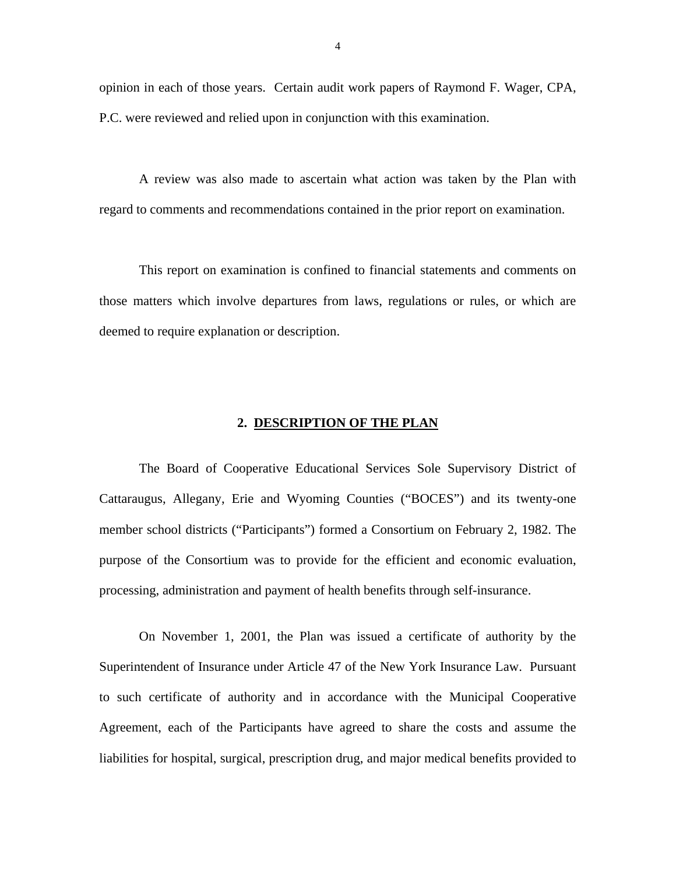opinion in each of those years. Certain audit work papers of Raymond F. Wager, CPA, P.C. were reviewed and relied upon in conjunction with this examination.

A review was also made to ascertain what action was taken by the Plan with regard to comments and recommendations contained in the prior report on examination.

This report on examination is confined to financial statements and comments on those matters which involve departures from laws, regulations or rules, or which are deemed to require explanation or description.

### **2. DESCRIPTION OF THE PLAN**

The Board of Cooperative Educational Services Sole Supervisory District of Cattaraugus, Allegany, Erie and Wyoming Counties ("BOCES") and its twenty-one member school districts ("Participants") formed a Consortium on February 2, 1982. The purpose of the Consortium was to provide for the efficient and economic evaluation, processing, administration and payment of health benefits through self-insurance.

On November 1, 2001, the Plan was issued a certificate of authority by the Superintendent of Insurance under Article 47 of the New York Insurance Law. Pursuant to such certificate of authority and in accordance with the Municipal Cooperative Agreement, each of the Participants have agreed to share the costs and assume the liabilities for hospital, surgical, prescription drug, and major medical benefits provided to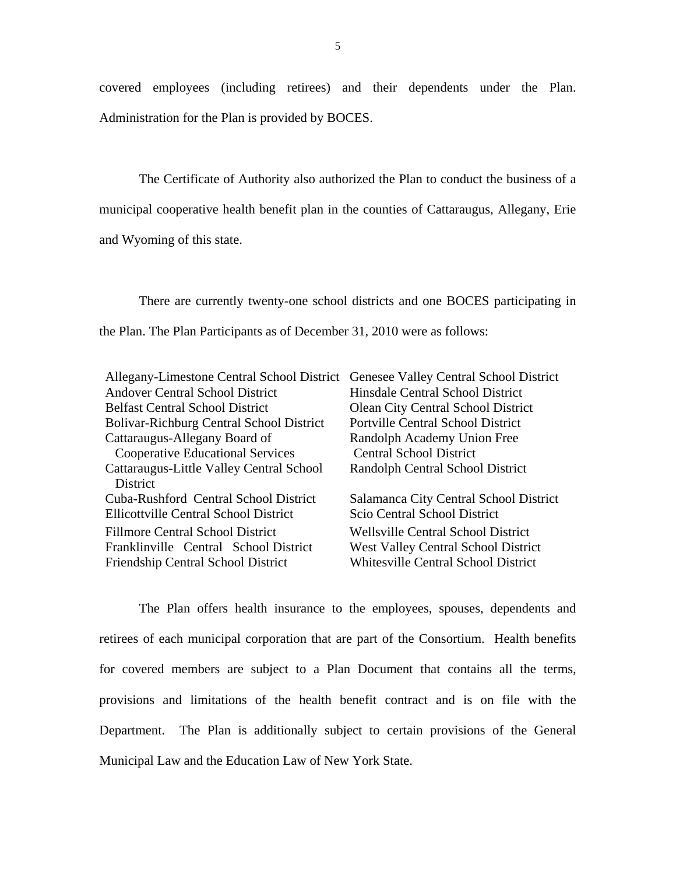covered employees (including retirees) and their dependents under the Plan. Administration for the Plan is provided by BOCES.

The Certificate of Authority also authorized the Plan to conduct the business of a municipal cooperative health benefit plan in the counties of Cattaraugus, Allegany, Erie and Wyoming of this state.

There are currently twenty-one school districts and one BOCES participating in the Plan. The Plan Participants as of December 31, 2010 were as follows:

| Allegany-Limestone Central School District   | Genesee Valley Central School District     |  |  |
|----------------------------------------------|--------------------------------------------|--|--|
| Andover Central School District              | Hinsdale Central School District           |  |  |
| <b>Belfast Central School District</b>       | <b>Olean City Central School District</b>  |  |  |
| Bolivar-Richburg Central School District     | <b>Portville Central School District</b>   |  |  |
| Cattaraugus-Allegany Board of                | Randolph Academy Union Free                |  |  |
| <b>Cooperative Educational Services</b>      | <b>Central School District</b>             |  |  |
| Cattaraugus-Little Valley Central School     | Randolph Central School District           |  |  |
| <b>District</b>                              |                                            |  |  |
| Cuba-Rushford Central School District        | Salamanca City Central School District     |  |  |
| <b>Ellicottville Central School District</b> | Scio Central School District               |  |  |
| Fillmore Central School District             | <b>Wellsville Central School District</b>  |  |  |
| Franklinville Central School District        | <b>West Valley Central School District</b> |  |  |
| <b>Friendship Central School District</b>    | <b>Whitesville Central School District</b> |  |  |

The Plan offers health insurance to the employees, spouses, dependents and retirees of each municipal corporation that are part of the Consortium. Health benefits for covered members are subject to a Plan Document that contains all the terms, provisions and limitations of the health benefit contract and is on file with the Department. The Plan is additionally subject to certain provisions of the General Municipal Law and the Education Law of New York State.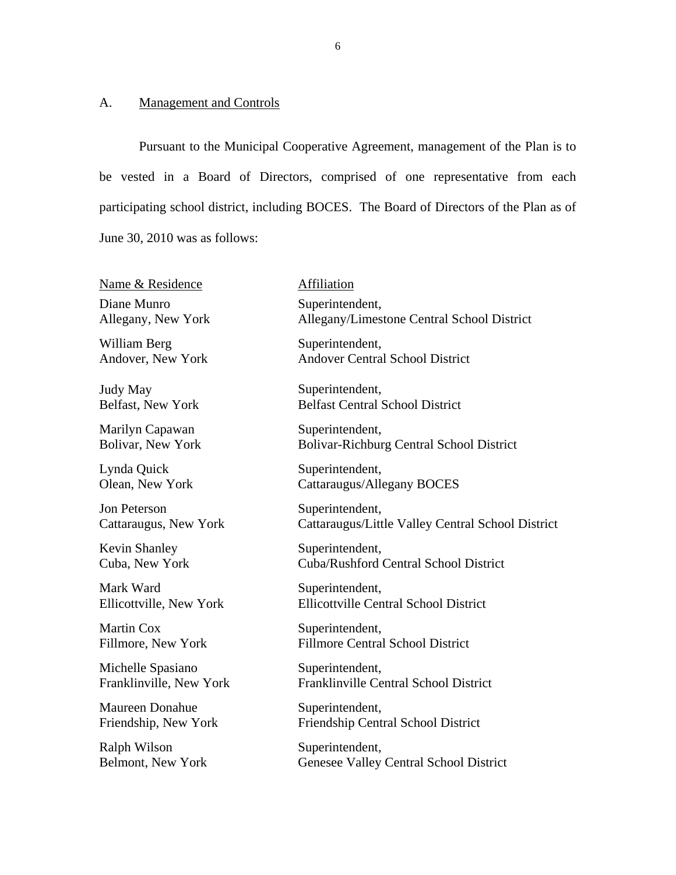# A. Management and Controls

Belmont, New York

Pursuant to the Municipal Cooperative Agreement, management of the Plan is to be vested in a Board of Directors, comprised of one representative from each participating school district, including BOCES. The Board of Directors of the Plan as of June 30, 2010 was as follows:

| Name & Residence        | Affiliation                                       |
|-------------------------|---------------------------------------------------|
| Diane Munro             | Superintendent,                                   |
| Allegany, New York      | Allegany/Limestone Central School District        |
| William Berg            | Superintendent,                                   |
| Andover, New York       | <b>Andover Central School District</b>            |
| <b>Judy May</b>         | Superintendent,                                   |
| Belfast, New York       | <b>Belfast Central School District</b>            |
| Marilyn Capawan         | Superintendent,                                   |
| Bolivar, New York       | Bolivar-Richburg Central School District          |
| Lynda Quick             | Superintendent,                                   |
| Olean, New York         | Cattaraugus/Allegany BOCES                        |
| Jon Peterson            | Superintendent,                                   |
| Cattaraugus, New York   | Cattaraugus/Little Valley Central School District |
| <b>Kevin Shanley</b>    | Superintendent,                                   |
| Cuba, New York          | Cuba/Rushford Central School District             |
| Mark Ward               | Superintendent,                                   |
| Ellicottville, New York | <b>Ellicottville Central School District</b>      |
| <b>Martin Cox</b>       | Superintendent,                                   |
| Fillmore, New York      | <b>Fillmore Central School District</b>           |
| Michelle Spasiano       | Superintendent,                                   |
| Franklinville, New York | Franklinville Central School District             |
| <b>Maureen Donahue</b>  | Superintendent,                                   |
| Friendship, New York    | Friendship Central School District                |
| Ralph Wilson            | Superintendent,                                   |

Superintendent, Genesee Valley Central School District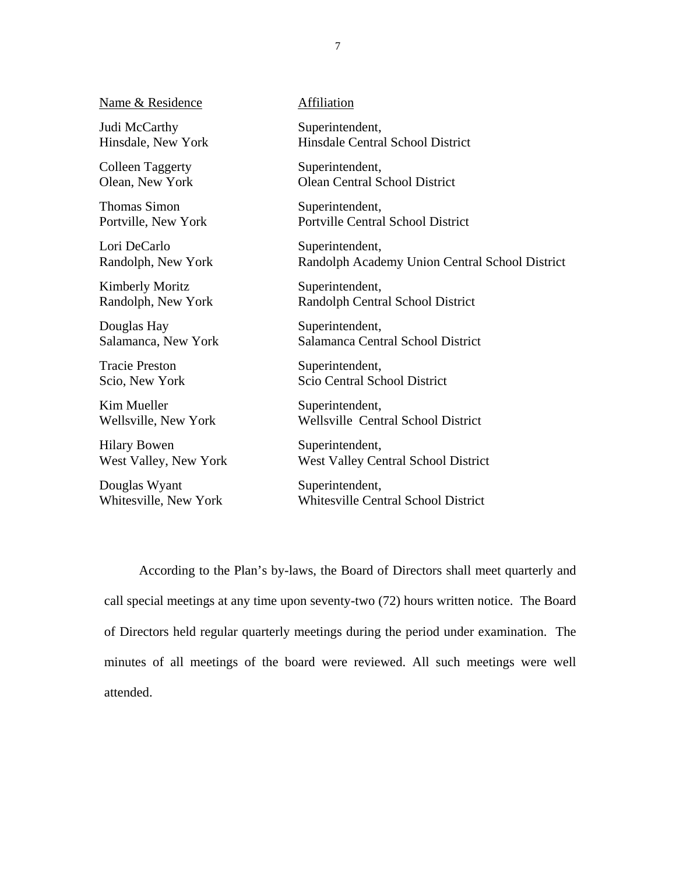Name & Residence **Affiliation** 

Judi McCarthy Superintendent,

Colleen Taggerty Superintendent,

Thomas Simon Superintendent,<br>
Portville. New York Portville Central

Lori DeCarlo Superintendent,

Kimberly Moritz Superintendent,

Douglas Hay Superintendent,

Tracie Preston Superintendent,

Kim Mueller Superintendent,

Hilary Bowen Superintendent,

Douglas Wyant Superintendent,

Hinsdale, New York Hinsdale Central School District

Olean, New York Olean Central School District

Portville Central School District

Randolph, New York Randolph Academy Union Central School District

Randolph, New York Randolph Central School District

Salamanca, New York Salamanca Central School District

Scio, New York Scio Central School District

Wellsville, New York Wellsville Central School District

West Valley, New York West Valley Central School District

Whitesville, New York Whitesville Central School District

According to the Plan's by-laws, the Board of Directors shall meet quarterly and call special meetings at any time upon seventy-two (72) hours written notice. The Board of Directors held regular quarterly meetings during the period under examination. The minutes of all meetings of the board were reviewed. All such meetings were well attended.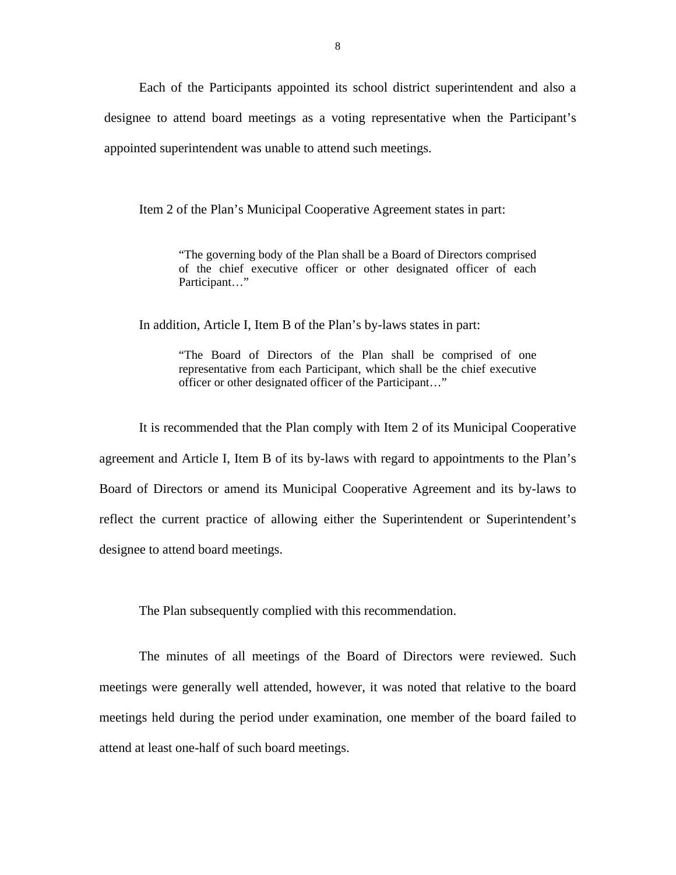Each of the Participants appointed its school district superintendent and also a designee to attend board meetings as a voting representative when the Participant's appointed superintendent was unable to attend such meetings.

Item 2 of the Plan's Municipal Cooperative Agreement states in part:

"The governing body of the Plan shall be a Board of Directors comprised of the chief executive officer or other designated officer of each Participant…"

In addition, Article I, Item B of the Plan's by-laws states in part:

"The Board of Directors of the Plan shall be comprised of one representative from each Participant, which shall be the chief executive officer or other designated officer of the Participant…"

It is recommended that the Plan comply with Item 2 of its Municipal Cooperative agreement and Article I, Item B of its by-laws with regard to appointments to the Plan's Board of Directors or amend its Municipal Cooperative Agreement and its by-laws to reflect the current practice of allowing either the Superintendent or Superintendent's designee to attend board meetings.

The Plan subsequently complied with this recommendation.

The minutes of all meetings of the Board of Directors were reviewed. Such meetings were generally well attended, however, it was noted that relative to the board meetings held during the period under examination, one member of the board failed to attend at least one-half of such board meetings.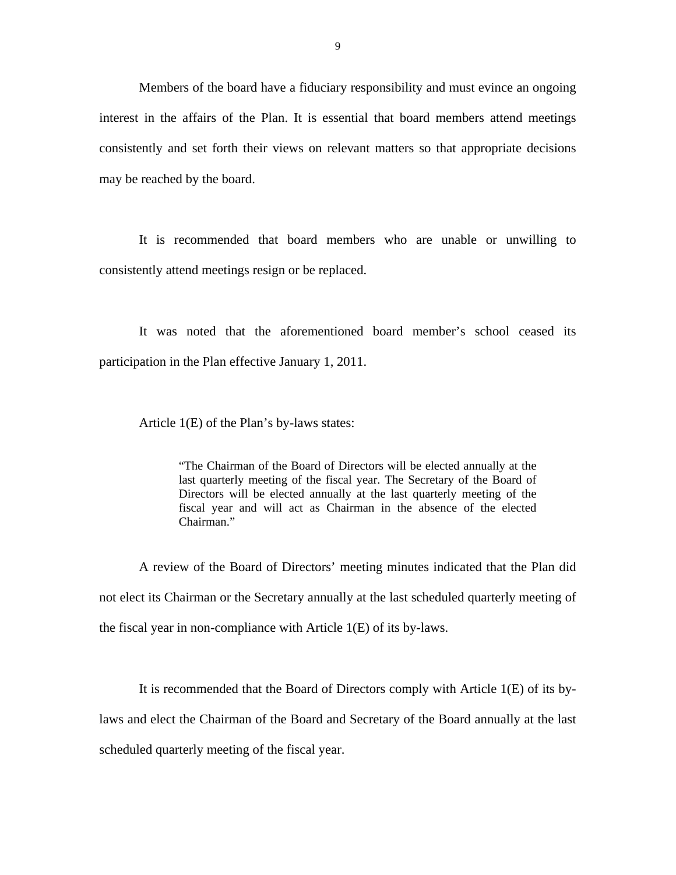Members of the board have a fiduciary responsibility and must evince an ongoing interest in the affairs of the Plan. It is essential that board members attend meetings consistently and set forth their views on relevant matters so that appropriate decisions may be reached by the board.

It is recommended that board members who are unable or unwilling to consistently attend meetings resign or be replaced.

It was noted that the aforementioned board member's school ceased its participation in the Plan effective January 1, 2011.

Article 1(E) of the Plan's by-laws states:

"The Chairman of the Board of Directors will be elected annually at the last quarterly meeting of the fiscal year. The Secretary of the Board of Directors will be elected annually at the last quarterly meeting of the fiscal year and will act as Chairman in the absence of the elected Chairman."

A review of the Board of Directors' meeting minutes indicated that the Plan did not elect its Chairman or the Secretary annually at the last scheduled quarterly meeting of the fiscal year in non-compliance with Article 1(E) of its by-laws.

It is recommended that the Board of Directors comply with Article 1(E) of its bylaws and elect the Chairman of the Board and Secretary of the Board annually at the last scheduled quarterly meeting of the fiscal year.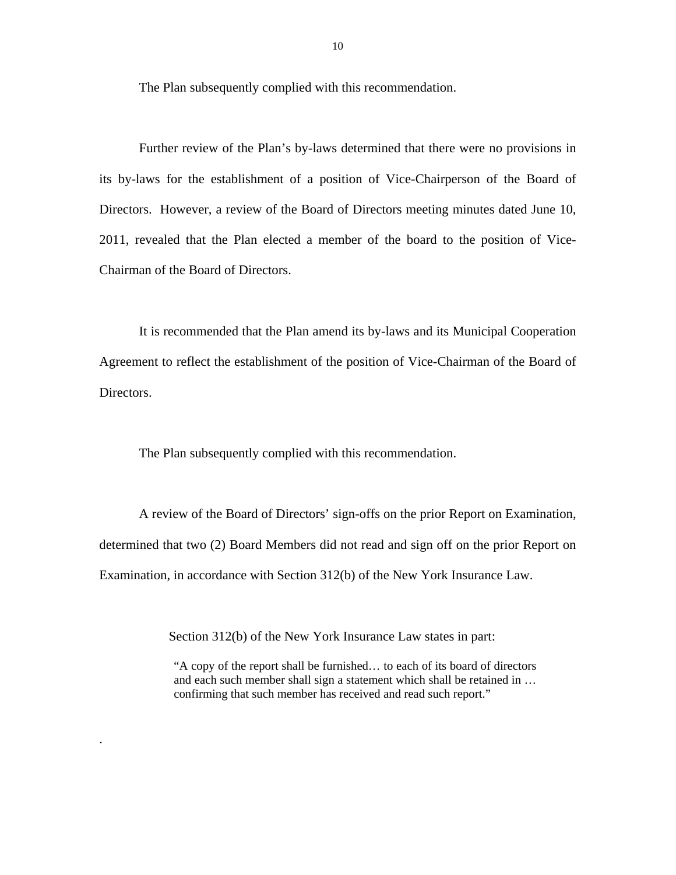The Plan subsequently complied with this recommendation.

Chairman of the Board of Directors. Further review of the Plan's by-laws determined that there were no provisions in its by-laws for the establishment of a position of Vice-Chairperson of the Board of Directors. However, a review of the Board of Directors meeting minutes dated June 10, 2011, revealed that the Plan elected a member of the board to the position of Vice-

It is recommended that the Plan amend its by-laws and its Municipal Cooperation Agreement to reflect the establishment of the position of Vice-Chairman of the Board of Directors.

The Plan subsequently complied with this recommendation.

A review of the Board of Directors' sign-offs on the prior Report on Examination, determined that two (2) Board Members did not read and sign off on the prior Report on Examination, in accordance with Section 312(b) of the New York Insurance Law.

Section 312(b) of the New York Insurance Law states in part:

.

"A copy of the report shall be furnished… to each of its board of directors and each such member shall sign a statement which shall be retained in … confirming that such member has received and read such report."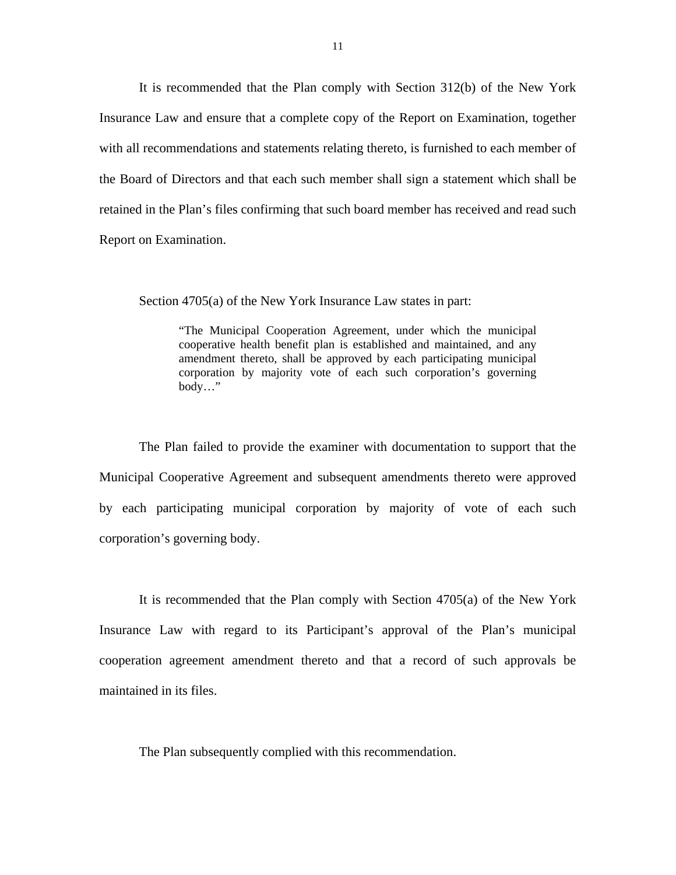It is recommended that the Plan comply with Section 312(b) of the New York Insurance Law and ensure that a complete copy of the Report on Examination, together with all recommendations and statements relating thereto, is furnished to each member of the Board of Directors and that each such member shall sign a statement which shall be retained in the Plan's files confirming that such board member has received and read such Report on Examination.

Section 4705(a) of the New York Insurance Law states in part:

 $body...$ " "The Municipal Cooperation Agreement, under which the municipal cooperative health benefit plan is established and maintained, and any amendment thereto, shall be approved by each participating municipal corporation by majority vote of each such corporation's governing

The Plan failed to provide the examiner with documentation to support that the Municipal Cooperative Agreement and subsequent amendments thereto were approved by each participating municipal corporation by majority of vote of each such corporation's governing body.

It is recommended that the Plan comply with Section 4705(a) of the New York Insurance Law with regard to its Participant's approval of the Plan's municipal cooperation agreement amendment thereto and that a record of such approvals be maintained in its files.

The Plan subsequently complied with this recommendation.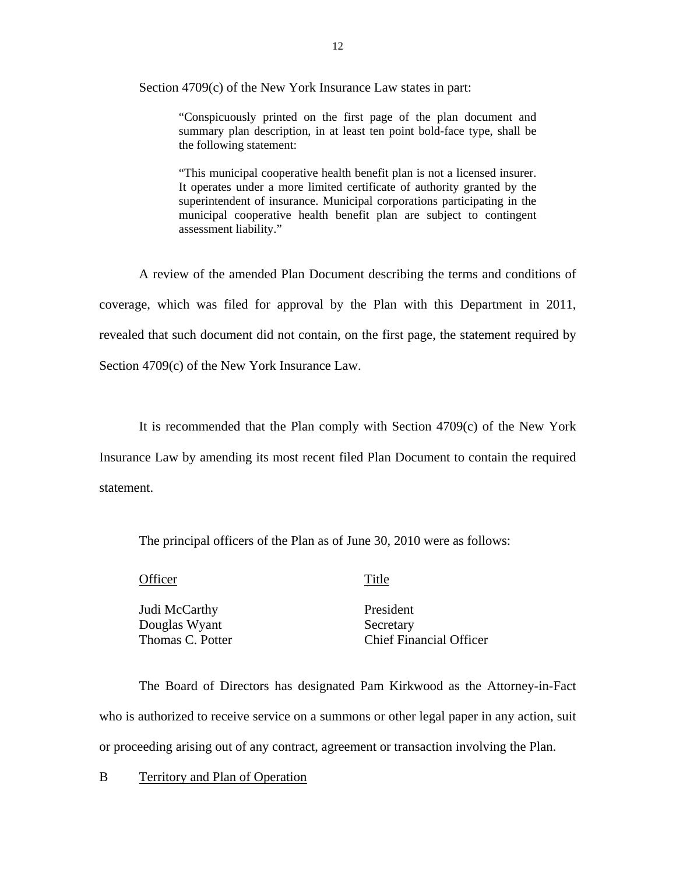Section 4709(c) of the New York Insurance Law states in part:

"Conspicuously printed on the first page of the plan document and summary plan description, in at least ten point bold-face type, shall be the following statement:

"This municipal cooperative health benefit plan is not a licensed insurer. It operates under a more limited certificate of authority granted by the superintendent of insurance. Municipal corporations participating in the municipal cooperative health benefit plan are subject to contingent assessment liability."

A review of the amended Plan Document describing the terms and conditions of coverage, which was filed for approval by the Plan with this Department in 2011, revealed that such document did not contain, on the first page, the statement required by Section 4709(c) of the New York Insurance Law.

It is recommended that the Plan comply with Section 4709(c) of the New York Insurance Law by amending its most recent filed Plan Document to contain the required statement.

The principal officers of the Plan as of June 30, 2010 were as follows:

Officer Title

Judi McCarthy Douglas Wyant Thomas C. Potter

President Secretary Chief Financial Officer

The Board of Directors has designated Pam Kirkwood as the Attorney-in-Fact who is authorized to receive service on a summons or other legal paper in any action, suit or proceeding arising out of any contract, agreement or transaction involving the Plan.

B Territory and Plan of Operation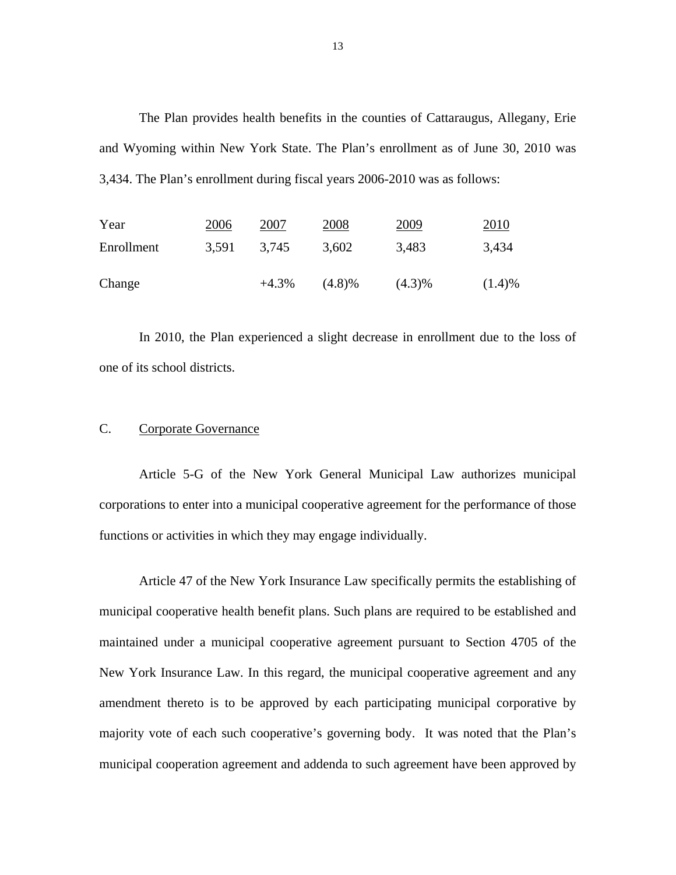The Plan provides health benefits in the counties of Cattaraugus, Allegany, Erie and Wyoming within New York State. The Plan's enrollment as of June 30, 2010 was 3,434. The Plan's enrollment during fiscal years 2006-2010 was as follows:

| Year       | 2006  | 2007     | 2008      | 2009      | 2010   |
|------------|-------|----------|-----------|-----------|--------|
| Enrollment | 3,591 | 3,745    | 3,602     | 3,483     | 3,434  |
| Change     |       | $+4.3\%$ | $(4.8)\%$ | $(4.3)\%$ | (1.4)% |

In 2010, the Plan experienced a slight decrease in enrollment due to the loss of one of its school districts.

### Corporate Governance

Article 5-G of the New York General Municipal Law authorizes municipal corporations to enter into a municipal cooperative agreement for the performance of those functions or activities in which they may engage individually.

Article 47 of the New York Insurance Law specifically permits the establishing of municipal cooperative health benefit plans. Such plans are required to be established and maintained under a municipal cooperative agreement pursuant to Section 4705 of the New York Insurance Law. In this regard, the municipal cooperative agreement and any amendment thereto is to be approved by each participating municipal corporative by majority vote of each such cooperative's governing body. It was noted that the Plan's municipal cooperation agreement and addenda to such agreement have been approved by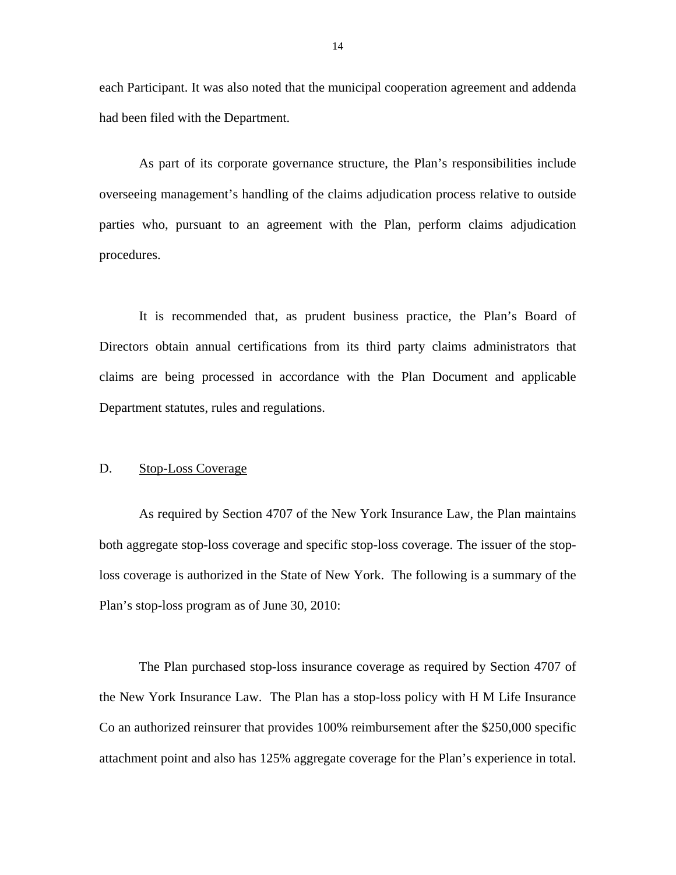each Participant. It was also noted that the municipal cooperation agreement and addenda had been filed with the Department.

As part of its corporate governance structure, the Plan's responsibilities include overseeing management's handling of the claims adjudication process relative to outside parties who, pursuant to an agreement with the Plan, perform claims adjudication procedures.

It is recommended that, as prudent business practice, the Plan's Board of Directors obtain annual certifications from its third party claims administrators that claims are being processed in accordance with the Plan Document and applicable Department statutes, rules and regulations.

### D. Stop-Loss Coverage

As required by Section 4707 of the New York Insurance Law, the Plan maintains both aggregate stop-loss coverage and specific stop-loss coverage. The issuer of the stoploss coverage is authorized in the State of New York. The following is a summary of the Plan's stop-loss program as of June 30, 2010:

The Plan purchased stop-loss insurance coverage as required by Section 4707 of the New York Insurance Law. The Plan has a stop-loss policy with H M Life Insurance Co an authorized reinsurer that provides 100% reimbursement after the \$250,000 specific attachment point and also has 125% aggregate coverage for the Plan's experience in total.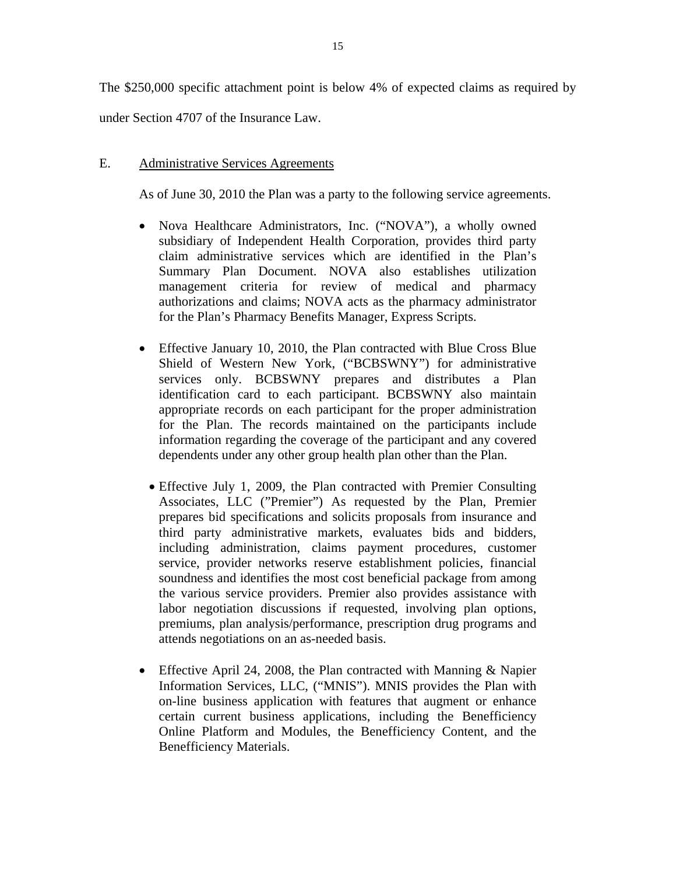The \$250,000 specific attachment point is below 4% of expected claims as required by under Section 4707 of the Insurance Law.

## E. Administrative Services Agreements

As of June 30, 2010 the Plan was a party to the following service agreements.

- Nova Healthcare Administrators, Inc. ("NOVA"), a wholly owned subsidiary of Independent Health Corporation, provides third party claim administrative services which are identified in the Plan's Summary Plan Document. NOVA also establishes utilization management criteria for review of medical and pharmacy authorizations and claims; NOVA acts as the pharmacy administrator for the Plan's Pharmacy Benefits Manager, Express Scripts.
- Effective January 10, 2010, the Plan contracted with Blue Cross Blue Shield of Western New York, ("BCBSWNY") for administrative services only. BCBSWNY prepares and distributes a Plan identification card to each participant. BCBSWNY also maintain appropriate records on each participant for the proper administration for the Plan. The records maintained on the participants include information regarding the coverage of the participant and any covered dependents under any other group health plan other than the Plan.
	- Effective July 1, 2009, the Plan contracted with Premier Consulting Associates, LLC ("Premier") As requested by the Plan, Premier prepares bid specifications and solicits proposals from insurance and third party administrative markets, evaluates bids and bidders, including administration, claims payment procedures, customer service, provider networks reserve establishment policies, financial soundness and identifies the most cost beneficial package from among the various service providers. Premier also provides assistance with labor negotiation discussions if requested, involving plan options, premiums, plan analysis/performance, prescription drug programs and attends negotiations on an as-needed basis.
- Effective April 24, 2008, the Plan contracted with Manning & Napier Information Services, LLC, ("MNIS"). MNIS provides the Plan with on-line business application with features that augment or enhance certain current business applications, including the Benefficiency Online Platform and Modules, the Benefficiency Content, and the Benefficiency Materials.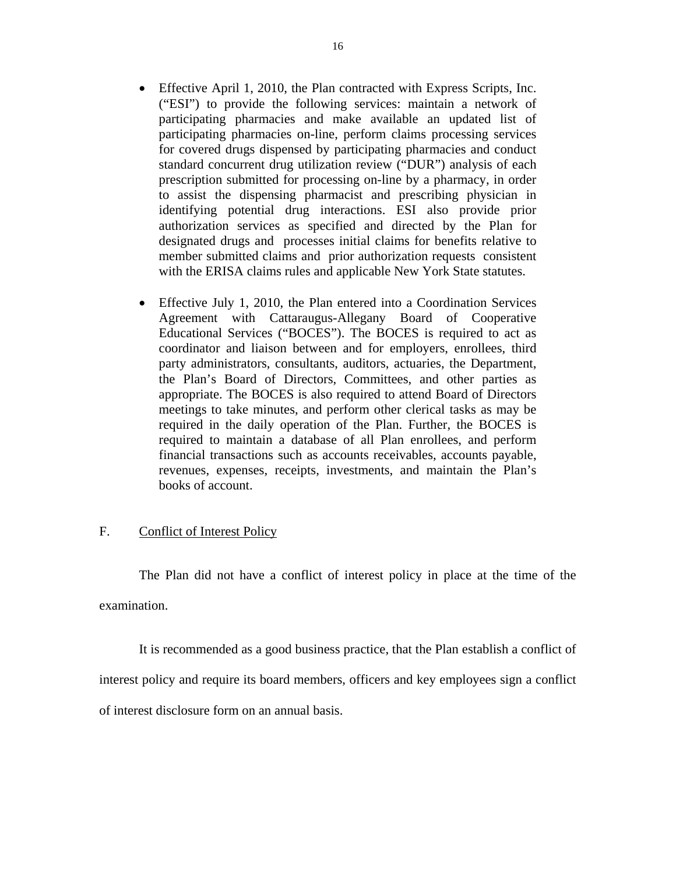- Effective April 1, 2010, the Plan contracted with Express Scripts, Inc. ("ESI") to provide the following services: maintain a network of participating pharmacies and make available an updated list of participating pharmacies on-line, perform claims processing services for covered drugs dispensed by participating pharmacies and conduct standard concurrent drug utilization review ("DUR") analysis of each prescription submitted for processing on-line by a pharmacy, in order to assist the dispensing pharmacist and prescribing physician in identifying potential drug interactions. ESI also provide prior authorization services as specified and directed by the Plan for designated drugs and processes initial claims for benefits relative to member submitted claims and prior authorization requests consistent with the ERISA claims rules and applicable New York State statutes.
- Effective July 1, 2010, the Plan entered into a Coordination Services Agreement with Cattaraugus-Allegany Board of Cooperative Educational Services ("BOCES"). The BOCES is required to act as coordinator and liaison between and for employers, enrollees, third party administrators, consultants, auditors, actuaries, the Department, the Plan's Board of Directors, Committees, and other parties as appropriate. The BOCES is also required to attend Board of Directors meetings to take minutes, and perform other clerical tasks as may be required in the daily operation of the Plan. Further, the BOCES is required to maintain a database of all Plan enrollees, and perform financial transactions such as accounts receivables, accounts payable, revenues, expenses, receipts, investments, and maintain the Plan's books of account.

### F. Conflict of Interest Policy

The Plan did not have a conflict of interest policy in place at the time of the examination.

It is recommended as a good business practice, that the Plan establish a conflict of interest policy and require its board members, officers and key employees sign a conflict of interest disclosure form on an annual basis.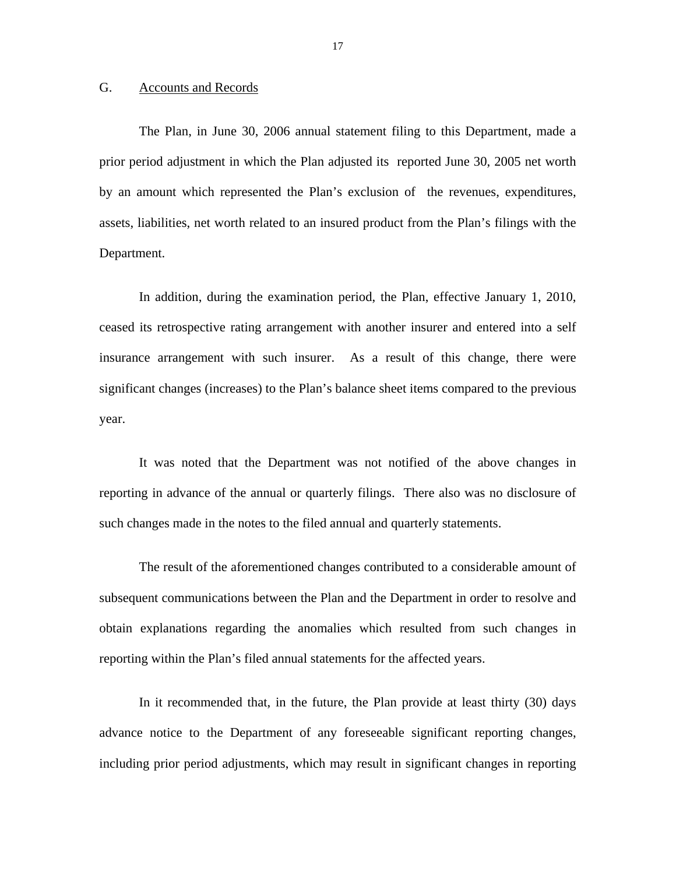### G. Accounts and Records

The Plan, in June 30, 2006 annual statement filing to this Department, made a prior period adjustment in which the Plan adjusted its reported June 30, 2005 net worth by an amount which represented the Plan's exclusion of the revenues, expenditures, assets, liabilities, net worth related to an insured product from the Plan's filings with the Department.

In addition, during the examination period, the Plan, effective January 1, 2010, ceased its retrospective rating arrangement with another insurer and entered into a self insurance arrangement with such insurer. As a result of this change, there were significant changes (increases) to the Plan's balance sheet items compared to the previous year.

It was noted that the Department was not notified of the above changes in reporting in advance of the annual or quarterly filings. There also was no disclosure of such changes made in the notes to the filed annual and quarterly statements.

The result of the aforementioned changes contributed to a considerable amount of subsequent communications between the Plan and the Department in order to resolve and obtain explanations regarding the anomalies which resulted from such changes in reporting within the Plan's filed annual statements for the affected years.

In it recommended that, in the future, the Plan provide at least thirty (30) days advance notice to the Department of any foreseeable significant reporting changes, including prior period adjustments, which may result in significant changes in reporting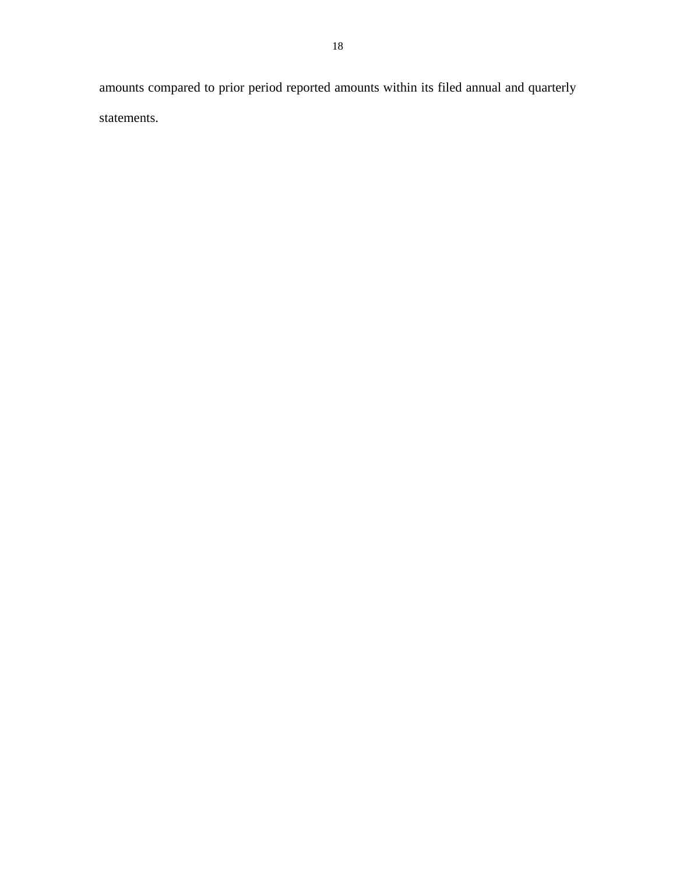amounts compared to prior period reported amounts within its filed annual and quarterly statements.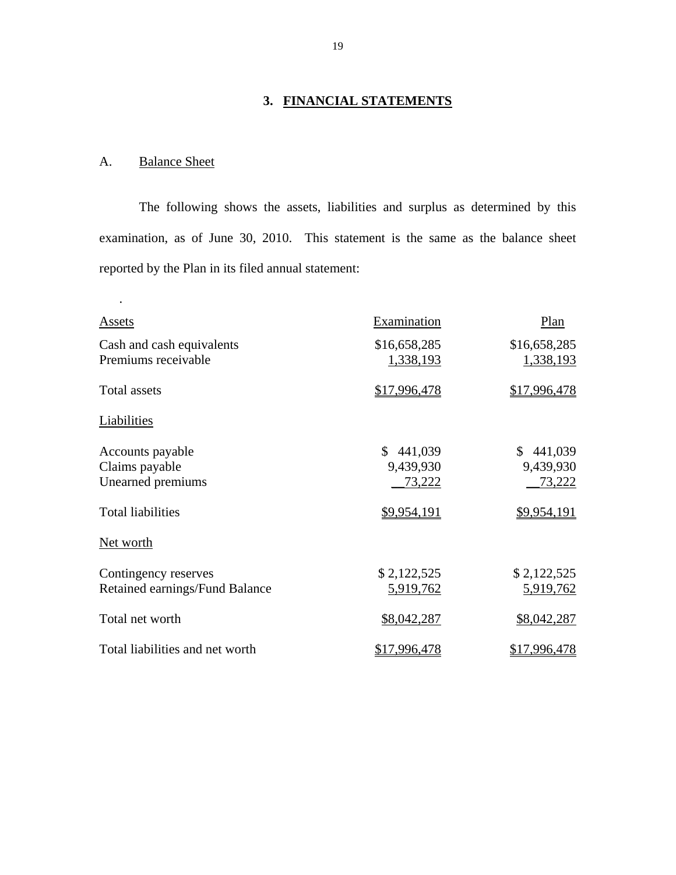# **3. FINANCIAL STATEMENTS**

# A. Balance Sheet

.

The following shows the assets, liabilities and surplus as determined by this examination, as of June 30, 2010. This statement is the same as the balance sheet reported by the Plan in its filed annual statement:

| <b>Assets</b>                                                                       | Examination                                         | Plan                                                |
|-------------------------------------------------------------------------------------|-----------------------------------------------------|-----------------------------------------------------|
| Cash and cash equivalents<br>Premiums receivable                                    | \$16,658,285<br>1,338,193                           | \$16,658,285<br>1,338,193                           |
| <b>Total assets</b>                                                                 | \$17,996,478                                        | \$17,996,478                                        |
| Liabilities                                                                         |                                                     |                                                     |
| Accounts payable<br>Claims payable<br>Unearned premiums<br><b>Total liabilities</b> | 441,039<br>\$<br>9,439,930<br>73,222<br>\$9,954,191 | 441,039<br>\$<br>9,439,930<br>73,222<br>\$9,954,191 |
| Net worth                                                                           |                                                     |                                                     |
| Contingency reserves<br>Retained earnings/Fund Balance                              | \$2,122,525<br><u>5,919,762</u>                     | \$2,122,525<br><u>5,919,762</u>                     |
| Total net worth                                                                     | \$8,042,287                                         | \$8,042,287                                         |
| Total liabilities and net worth                                                     | \$17,996,478                                        | \$17,996,478                                        |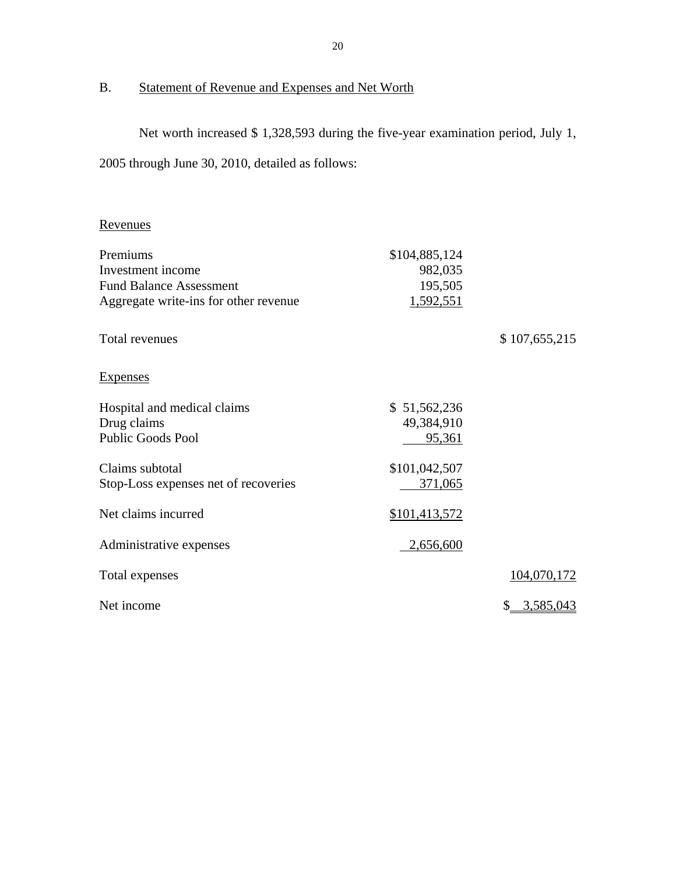# B. Statement of Revenue and Expenses and Net Worth

Net worth increased \$ 1,328,593 during the five-year examination period, July 1,

2005 through June 30, 2010, detailed as follows:

# Revenues

| Premiums                              | \$104,885,124 |               |
|---------------------------------------|---------------|---------------|
| Investment income                     | 982,035       |               |
| <b>Fund Balance Assessment</b>        | 195,505       |               |
| Aggregate write-ins for other revenue | 1,592,551     |               |
| Total revenues                        |               | \$107,655,215 |
| <b>Expenses</b>                       |               |               |
| Hospital and medical claims           | \$51,562,236  |               |
| Drug claims                           | 49,384,910    |               |
| <b>Public Goods Pool</b>              | 95,361        |               |
| Claims subtotal                       | \$101,042,507 |               |
| Stop-Loss expenses net of recoveries  | 371,065       |               |
| Net claims incurred                   | \$101,413,572 |               |
| Administrative expenses               | 2,656,600     |               |
| Total expenses                        |               | 104,070,172   |
| Net income                            |               | 3,585,043     |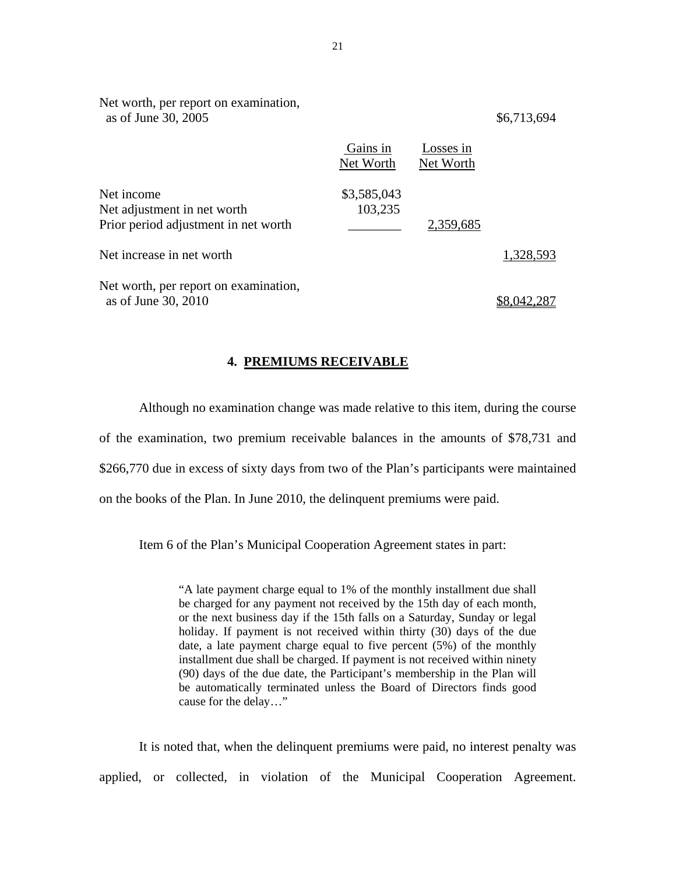| Net worth, per report on examination,<br>as of June 30, 2005                      |                        |                        | \$6,713,694 |
|-----------------------------------------------------------------------------------|------------------------|------------------------|-------------|
|                                                                                   | Gains in<br>Net Worth  | Losses in<br>Net Worth |             |
| Net income<br>Net adjustment in net worth<br>Prior period adjustment in net worth | \$3,585,043<br>103,235 | 2,359,685              |             |
| Net increase in net worth                                                         |                        |                        | 1,328,593   |
| Net worth, per report on examination,<br>as of June 30, 2010                      |                        |                        |             |

### **4. PREMIUMS RECEIVABLE**

Although no examination change was made relative to this item, during the course of the examination, two premium receivable balances in the amounts of \$78,731 and \$266,770 due in excess of sixty days from two of the Plan's participants were maintained on the books of the Plan. In June 2010, the delinquent premiums were paid.

Item 6 of the Plan's Municipal Cooperation Agreement states in part:

"A late payment charge equal to 1% of the monthly installment due shall be charged for any payment not received by the 15th day of each month, or the next business day if the 15th falls on a Saturday, Sunday or legal holiday. If payment is not received within thirty (30) days of the due date, a late payment charge equal to five percent (5%) of the monthly installment due shall be charged. If payment is not received within ninety (90) days of the due date, the Participant's membership in the Plan will be automatically terminated unless the Board of Directors finds good cause for the delay…"

It is noted that, when the delinquent premiums were paid, no interest penalty was applied, or collected, in violation of the Municipal Cooperation Agreement.

21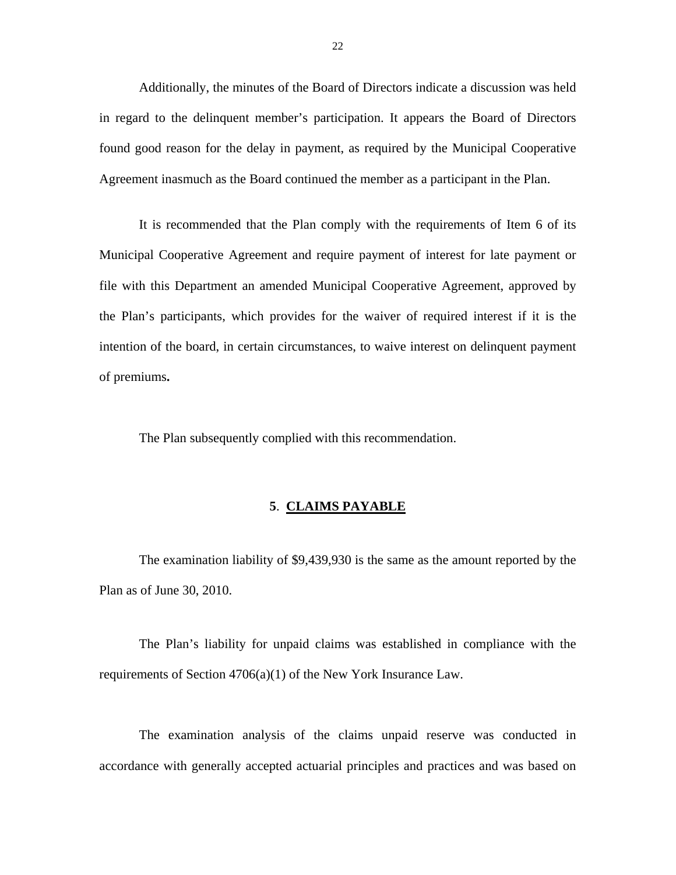Additionally, the minutes of the Board of Directors indicate a discussion was held in regard to the delinquent member's participation. It appears the Board of Directors found good reason for the delay in payment, as required by the Municipal Cooperative Agreement inasmuch as the Board continued the member as a participant in the Plan.

It is recommended that the Plan comply with the requirements of Item 6 of its Municipal Cooperative Agreement and require payment of interest for late payment or file with this Department an amended Municipal Cooperative Agreement, approved by the Plan's participants, which provides for the waiver of required interest if it is the intention of the board, in certain circumstances, to waive interest on delinquent payment of premiums**.** 

The Plan subsequently complied with this recommendation.

### **5**. **CLAIMS PAYABLE**

The examination liability of \$9,439,930 is the same as the amount reported by the Plan as of June 30, 2010.

The Plan's liability for unpaid claims was established in compliance with the requirements of Section 4706(a)(1) of the New York Insurance Law.

The examination analysis of the claims unpaid reserve was conducted in accordance with generally accepted actuarial principles and practices and was based on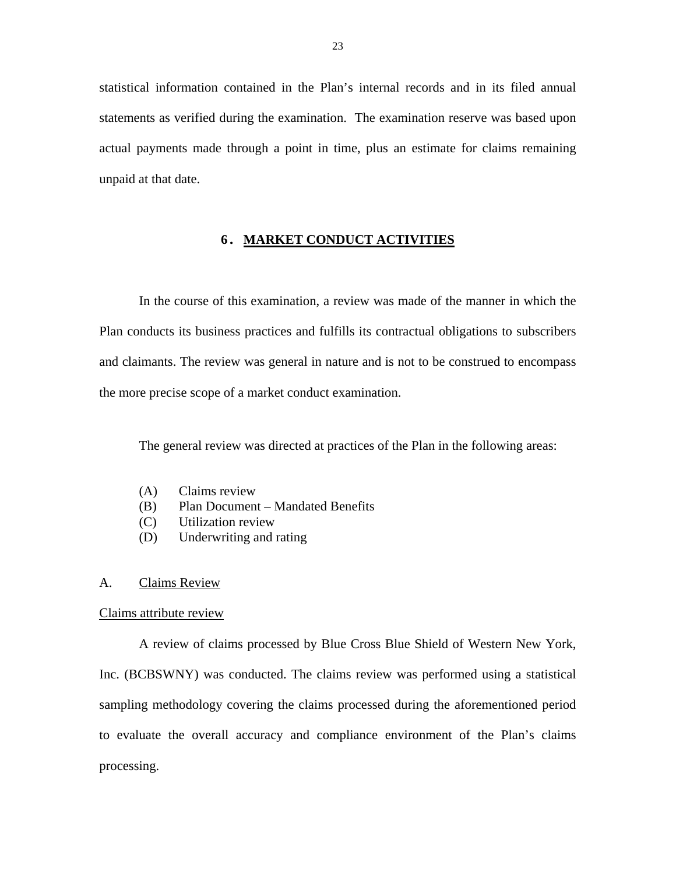statistical information contained in the Plan's internal records and in its filed annual statements as verified during the examination. The examination reserve was based upon actual payments made through a point in time, plus an estimate for claims remaining unpaid at that date.

### **6. MARKET CONDUCT ACTIVITIES**

In the course of this examination, a review was made of the manner in which the Plan conducts its business practices and fulfills its contractual obligations to subscribers and claimants. The review was general in nature and is not to be construed to encompass the more precise scope of a market conduct examination.

The general review was directed at practices of the Plan in the following areas:

- (A) Claims review
- (B) Plan Document Mandated Benefits
- (C) Utilization review
- (D) Underwriting and rating

### A. Claims Review

### Claims attribute review

A review of claims processed by Blue Cross Blue Shield of Western New York, Inc. (BCBSWNY) was conducted. The claims review was performed using a statistical sampling methodology covering the claims processed during the aforementioned period to evaluate the overall accuracy and compliance environment of the Plan's claims processing.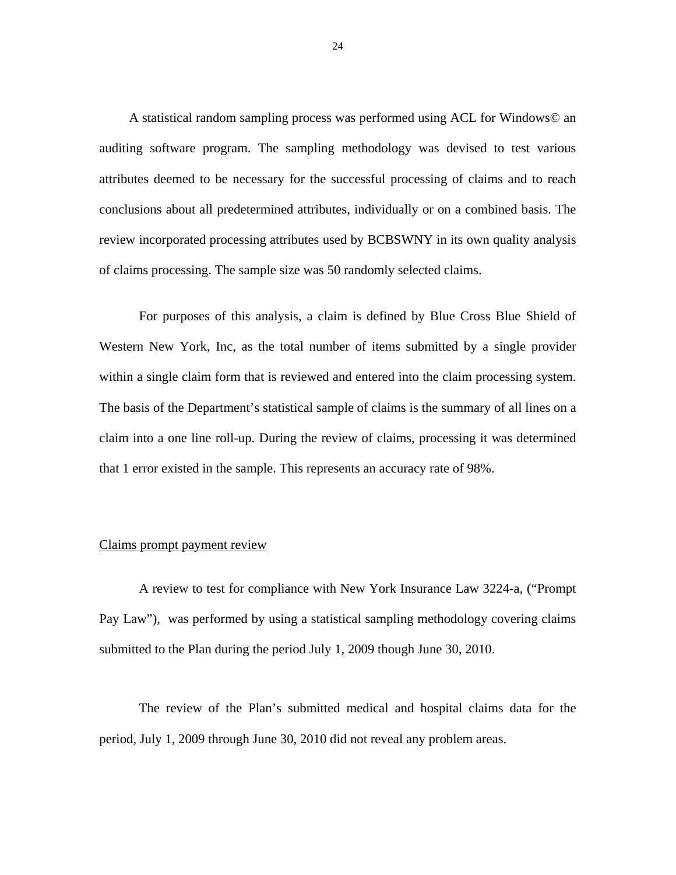A statistical random sampling process was performed using ACL for Windows© an auditing software program. The sampling methodology was devised to test various attributes deemed to be necessary for the successful processing of claims and to reach conclusions about all predetermined attributes, individually or on a combined basis. The review incorporated processing attributes used by BCBSWNY in its own quality analysis of claims processing. The sample size was 50 randomly selected claims.

For purposes of this analysis, a claim is defined by Blue Cross Blue Shield of Western New York, Inc, as the total number of items submitted by a single provider within a single claim form that is reviewed and entered into the claim processing system. The basis of the Department's statistical sample of claims is the summary of all lines on a claim into a one line roll-up. During the review of claims, processing it was determined that 1 error existed in the sample. This represents an accuracy rate of 98%.

### Claims prompt payment review

A review to test for compliance with New York Insurance Law 3224-a, ("Prompt Pay Law"), was performed by using a statistical sampling methodology covering claims submitted to the Plan during the period July 1, 2009 though June 30, 2010.

The review of the Plan's submitted medical and hospital claims data for the period, July 1, 2009 through June 30, 2010 did not reveal any problem areas.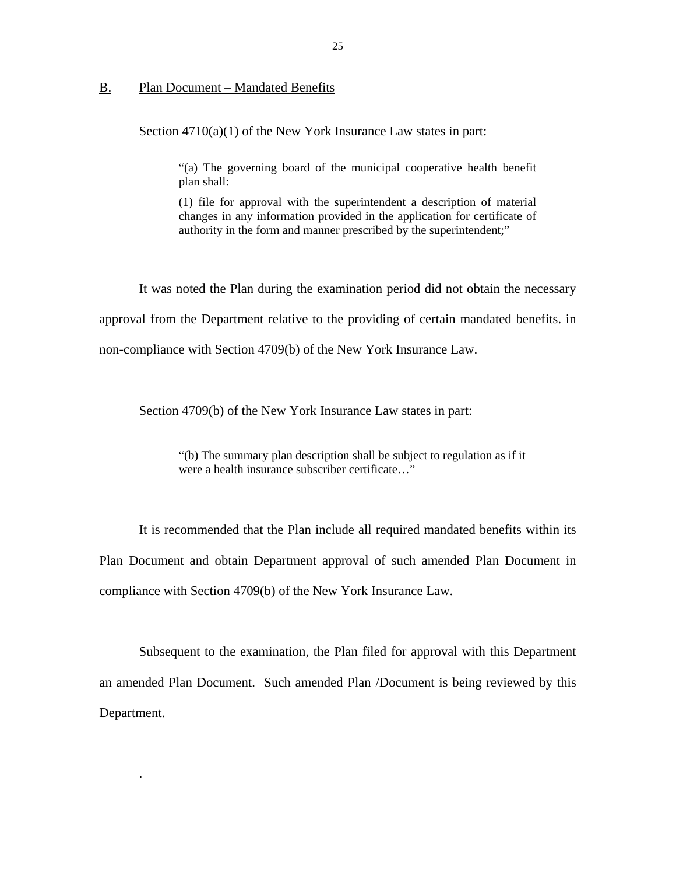### B. Plan Document – Mandated Benefits

.

Section 4710(a)(1) of the New York Insurance Law states in part:

"(a) The governing board of the municipal cooperative health benefit plan shall:

(1) file for approval with the superintendent a description of material changes in any information provided in the application for certificate of authority in the form and manner prescribed by the superintendent;"

It was noted the Plan during the examination period did not obtain the necessary approval from the Department relative to the providing of certain mandated benefits. in non-compliance with Section 4709(b) of the New York Insurance Law.

Section 4709(b) of the New York Insurance Law states in part:

"(b) The summary plan description shall be subject to regulation as if it were a health insurance subscriber certificate..."

It is recommended that the Plan include all required mandated benefits within its Plan Document and obtain Department approval of such amended Plan Document in compliance with Section 4709(b) of the New York Insurance Law.

Subsequent to the examination, the Plan filed for approval with this Department an amended Plan Document. Such amended Plan /Document is being reviewed by this Department.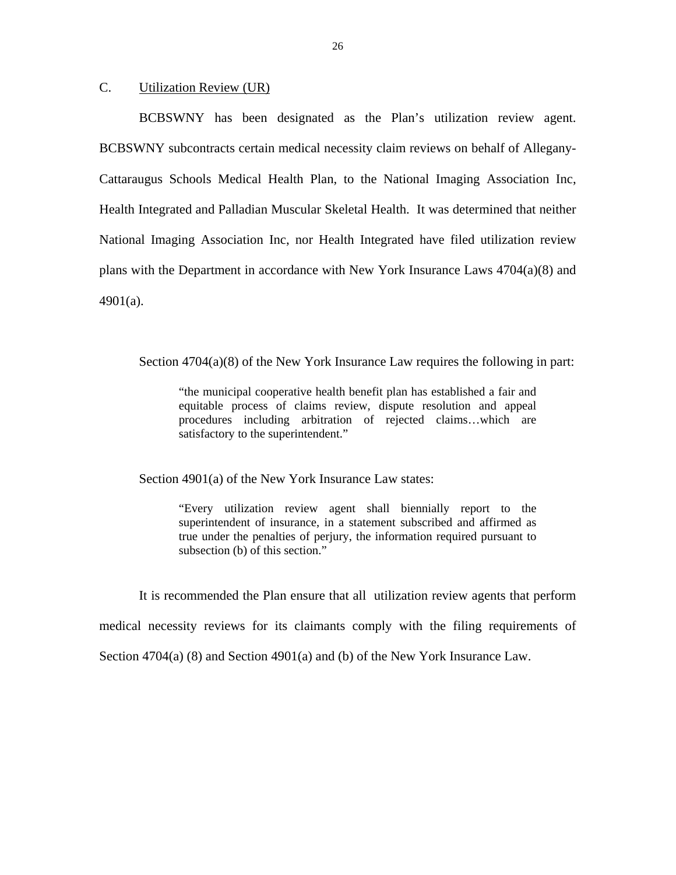## C. Utilization Review (UR)

BCBSWNY has been designated as the Plan's utilization review agent. BCBSWNY subcontracts certain medical necessity claim reviews on behalf of Allegany-Cattaraugus Schools Medical Health Plan, to the National Imaging Association Inc, Health Integrated and Palladian Muscular Skeletal Health. It was determined that neither National Imaging Association Inc, nor Health Integrated have filed utilization review plans with the Department in accordance with New York Insurance Laws 4704(a)(8) and 4901(a).

Section  $4704(a)(8)$  of the New York Insurance Law requires the following in part:

"the municipal cooperative health benefit plan has established a fair and equitable process of claims review, dispute resolution and appeal procedures including arbitration of rejected claims…which are satisfactory to the superintendent."

Section 4901(a) of the New York Insurance Law states:

"Every utilization review agent shall biennially report to the superintendent of insurance, in a statement subscribed and affirmed as true under the penalties of perjury, the information required pursuant to subsection (b) of this section."

It is recommended the Plan ensure that all utilization review agents that perform medical necessity reviews for its claimants comply with the filing requirements of Section  $4704(a)$  (8) and Section  $4901(a)$  and (b) of the New York Insurance Law.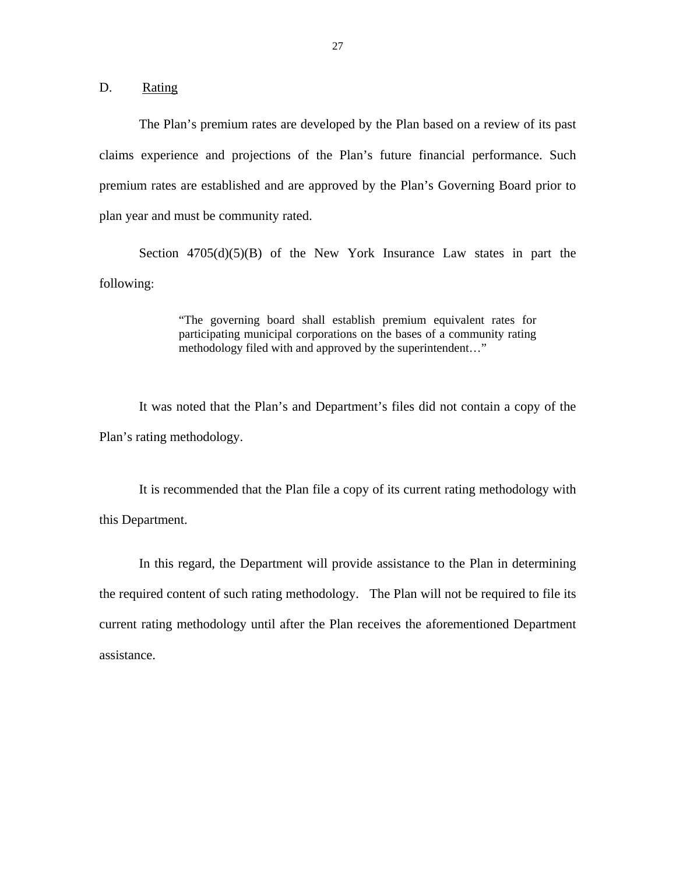D. Rating

The Plan's premium rates are developed by the Plan based on a review of its past claims experience and projections of the Plan's future financial performance. Such premium rates are established and are approved by the Plan's Governing Board prior to plan year and must be community rated.

Section  $4705(d)(5)(B)$  of the New York Insurance Law states in part the following:

> "The governing board shall establish premium equivalent rates for participating municipal corporations on the bases of a community rating methodology filed with and approved by the superintendent…"

It was noted that the Plan's and Department's files did not contain a copy of the Plan's rating methodology.

It is recommended that the Plan file a copy of its current rating methodology with this Department.

In this regard, the Department will provide assistance to the Plan in determining the required content of such rating methodology. The Plan will not be required to file its current rating methodology until after the Plan receives the aforementioned Department assistance.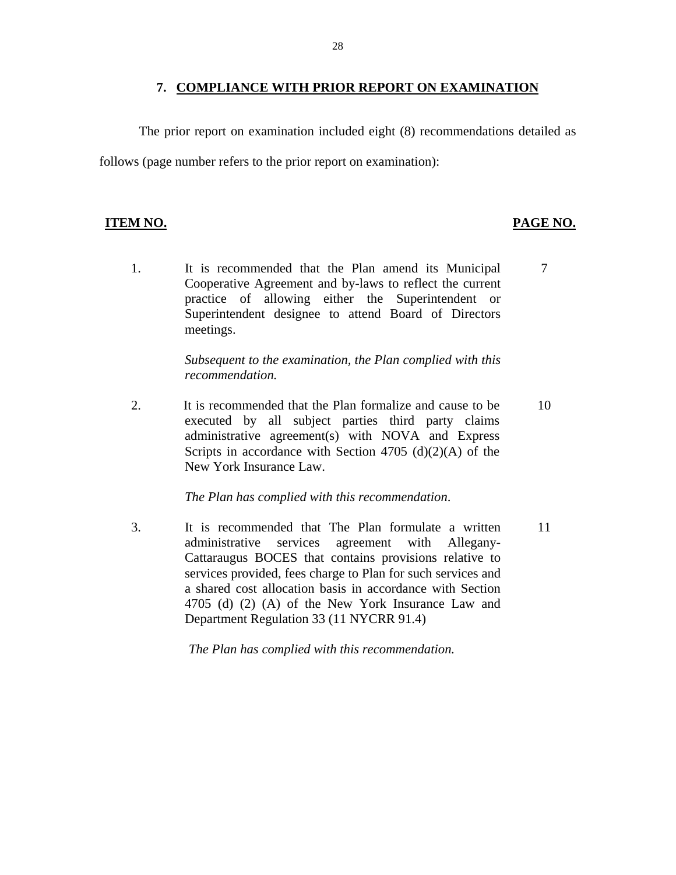### **7. COMPLIANCE WITH PRIOR REPORT ON EXAMINATION**

The prior report on examination included eight (8) recommendations detailed as follows (page number refers to the prior report on examination):

# **ITEM NO. PAGE NO. PAGE NO.**

1. It is recommended that the Plan amend its Municipal Cooperative Agreement and by-laws to reflect the current practice of allowing either the Superintendent or Superintendent designee to attend Board of Directors meetings. 7

> *Subsequent to the examination, the Plan complied with this recommendation.*

2. It is recommended that the Plan formalize and cause to be executed by all subject parties third party claims administrative agreement(s) with NOVA and Express Scripts in accordance with Section 4705 (d)(2)(A) of the New York Insurance Law. 10

*The Plan has complied with this recommendation*.

3. It is recommended that The Plan formulate a written administrative services agreement with Allegany-Cattaraugus BOCES that contains provisions relative to services provided, fees charge to Plan for such services and a shared cost allocation basis in accordance with Section 4705 (d) (2) (A) of the New York Insurance Law and Department Regulation 33 (11 NYCRR 91.4) 11

*The Plan has complied with this recommendation.*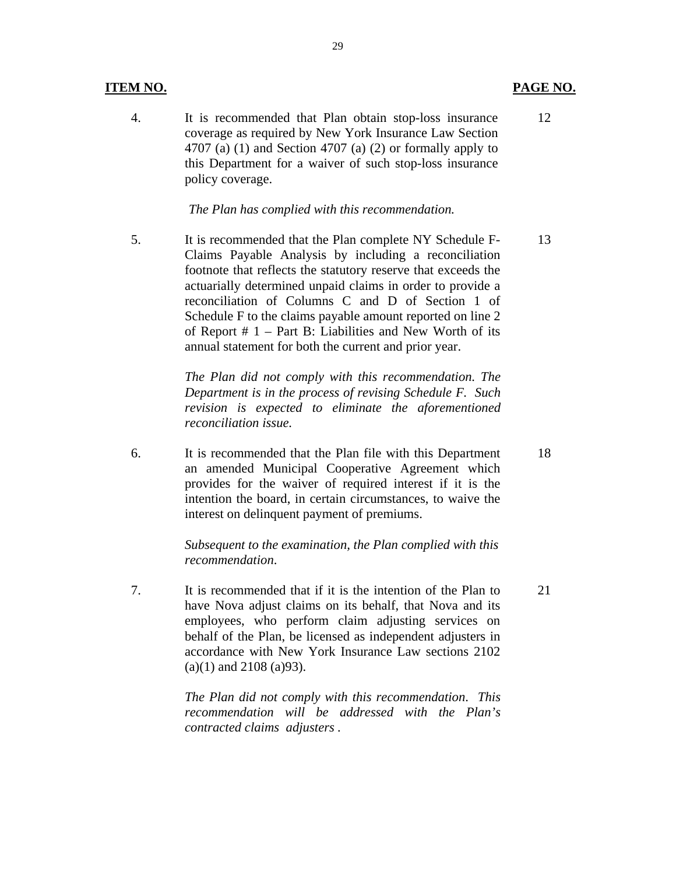### **ITEM NO. PAGE NO. PAGE NO.**

4. It is recommended that Plan obtain stop-loss insurance coverage as required by New York Insurance Law Section 4707 (a)  $(1)$  and Section 4707 (a)  $(2)$  or formally apply to this Department for a waiver of such stop-loss insurance policy coverage.

*The Plan has complied with this recommendation.* 

5. It is recommended that the Plan complete NY Schedule F-Claims Payable Analysis by including a reconciliation footnote that reflects the statutory reserve that exceeds the actuarially determined unpaid claims in order to provide a reconciliation of Columns C and D of Section 1 of Schedule F to the claims payable amount reported on line 2 of Report  $# 1$  – Part B: Liabilities and New Worth of its annual statement for both the current and prior year. 13

> *The Plan did not comply with this recommendation. The Department is in the process of revising Schedule F. Such revision is expected to eliminate the aforementioned reconciliation issue.*

6. It is recommended that the Plan file with this Department an amended Municipal Cooperative Agreement which provides for the waiver of required interest if it is the intention the board, in certain circumstances, to waive the interest on delinquent payment of premiums.

> *Subsequent to the examination, the Plan complied with this recommendation*.

7. It is recommended that if it is the intention of the Plan to have Nova adjust claims on its behalf, that Nova and its employees, who perform claim adjusting services on behalf of the Plan, be licensed as independent adjusters in accordance with New York Insurance Law sections 2102  $(a)(1)$  and 2108  $(a)93$ ). 21

> *The Plan did not comply with this recommendation*. *This recommendation will be addressed with the Plan's contracted claims adjusters .*

18

12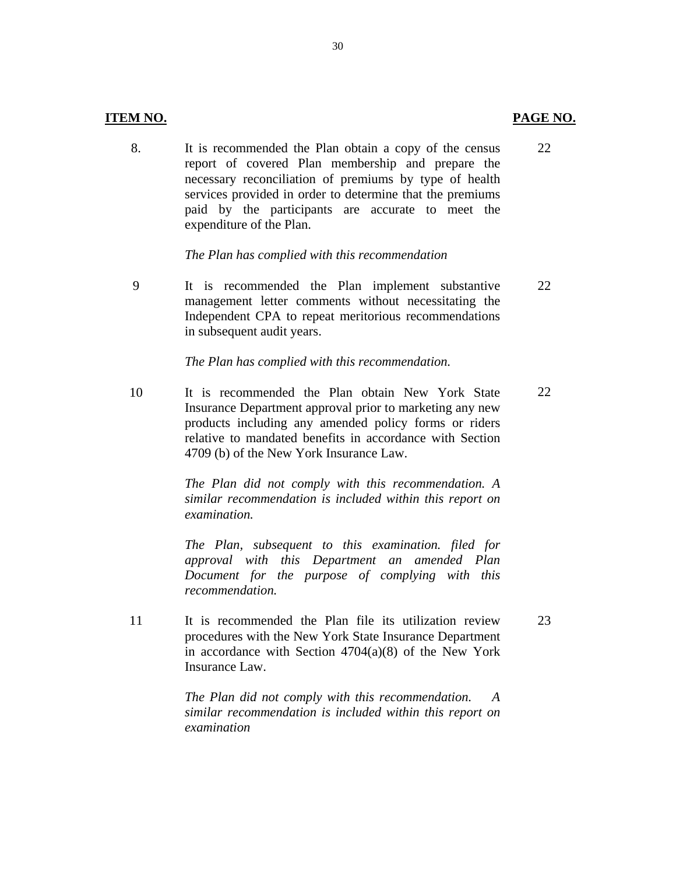22

23

8. It is recommended the Plan obtain a copy of the census report of covered Plan membership and prepare the necessary reconciliation of premiums by type of health services provided in order to determine that the premiums paid by the participants are accurate to meet the expenditure of the Plan.

### *The Plan has complied with this recommendation*

9 It is recommended the Plan implement substantive management letter comments without necessitating the Independent CPA to repeat meritorious recommendations in subsequent audit years. 22

### *The Plan has complied with this recommendation.*

10 It is recommended the Plan obtain New York State Insurance Department approval prior to marketing any new products including any amended policy forms or riders relative to mandated benefits in accordance with Section 4709 (b) of the New York Insurance Law. 22

> *The Plan did not comply with this recommendation. A similar recommendation is included within this report on examination.*

> *The Plan, subsequent to this examination. filed for approval with this Department an amended Plan Document for the purpose of complying with this recommendation.*

11 It is recommended the Plan file its utilization review procedures with the New York State Insurance Department in accordance with Section 4704(a)(8) of the New York Insurance Law.

> *The Plan did not comply with this recommendation. A examination similar recommendation is included within this report on*

30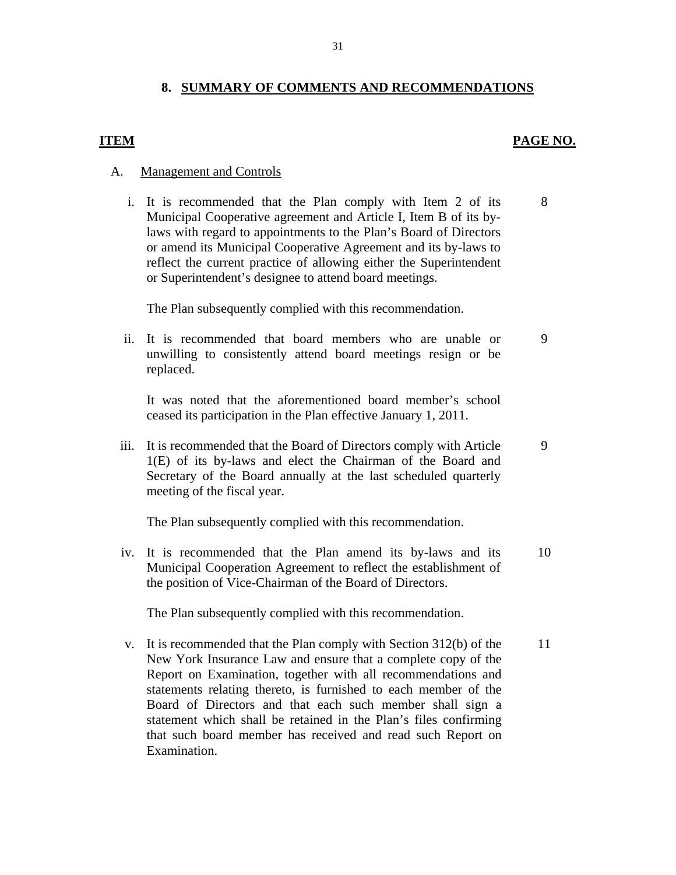## **8. SUMMARY OF COMMENTS AND RECOMMENDATIONS**

### **ITEM** PAGE NO.

8

9

9

### A. Management and Controls

i. It is recommended that the Plan comply with Item 2 of its Municipal Cooperative agreement and Article I, Item B of its bylaws with regard to appointments to the Plan's Board of Directors or amend its Municipal Cooperative Agreement and its by-laws to reflect the current practice of allowing either the Superintendent or Superintendent's designee to attend board meetings.

The Plan subsequently complied with this recommendation.

ii. It is recommended that board members who are unable or unwilling to consistently attend board meetings resign or be replaced.

It was noted that the aforementioned board member's school ceased its participation in the Plan effective January 1, 2011.

iii. It is recommended that the Board of Directors comply with Article 1(E) of its by-laws and elect the Chairman of the Board and Secretary of the Board annually at the last scheduled quarterly meeting of the fiscal year.

The Plan subsequently complied with this recommendation.

iv. It is recommended that the Plan amend its by-laws and its Municipal Cooperation Agreement to reflect the establishment of the position of Vice-Chairman of the Board of Directors. 10

The Plan subsequently complied with this recommendation.

v. It is recommended that the Plan comply with Section 312(b) of the New York Insurance Law and ensure that a complete copy of the Report on Examination, together with all recommendations and statements relating thereto, is furnished to each member of the Board of Directors and that each such member shall sign a statement which shall be retained in the Plan's files confirming that such board member has received and read such Report on Examination. 11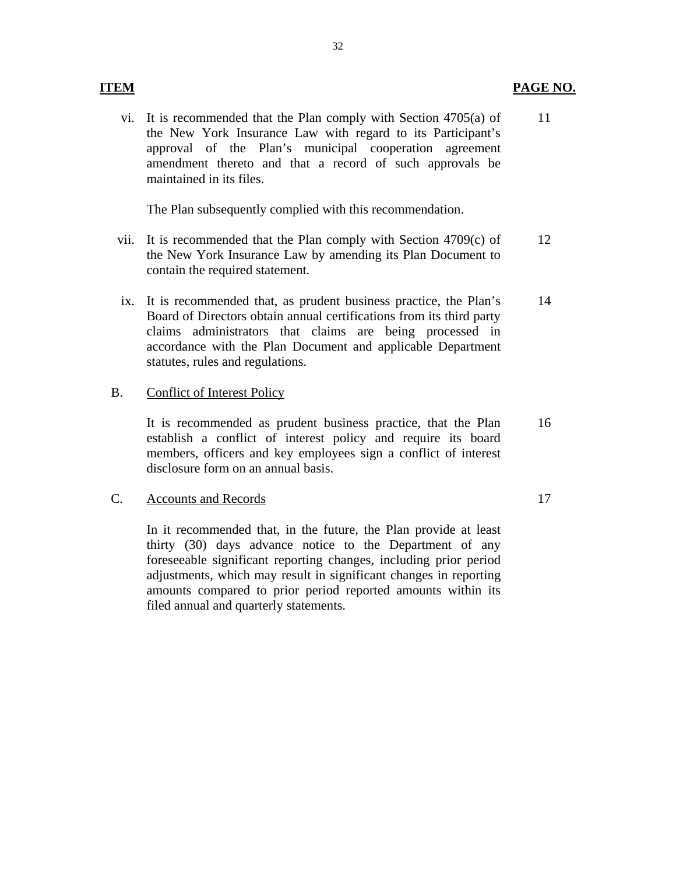### **ITEM PAGE NO.**

vi. It is recommended that the Plan comply with Section 4705(a) of the New York Insurance Law with regard to its Participant's approval of the Plan's municipal cooperation agreement amendment thereto and that a record of such approvals be maintained in its files. 11

The Plan subsequently complied with this recommendation.

- vii. It is recommended that the Plan comply with Section 4709(c) of the New York Insurance Law by amending its Plan Document to contain the required statement. 12
- ix. It is recommended that, as prudent business practice, the Plan's Board of Directors obtain annual certifications from its third party claims administrators that claims are being processed in accordance with the Plan Document and applicable Department statutes, rules and regulations. 14

### B. Conflict of Interest Policy

It is recommended as prudent business practice, that the Plan establish a conflict of interest policy and require its board members, officers and key employees sign a conflict of interest disclosure form on an annual basis. 16

### C. Accounts and Records 17

In it recommended that, in the future, the Plan provide at least thirty (30) days advance notice to the Department of any foreseeable significant reporting changes, including prior period adjustments, which may result in significant changes in reporting amounts compared to prior period reported amounts within its filed annual and quarterly statements.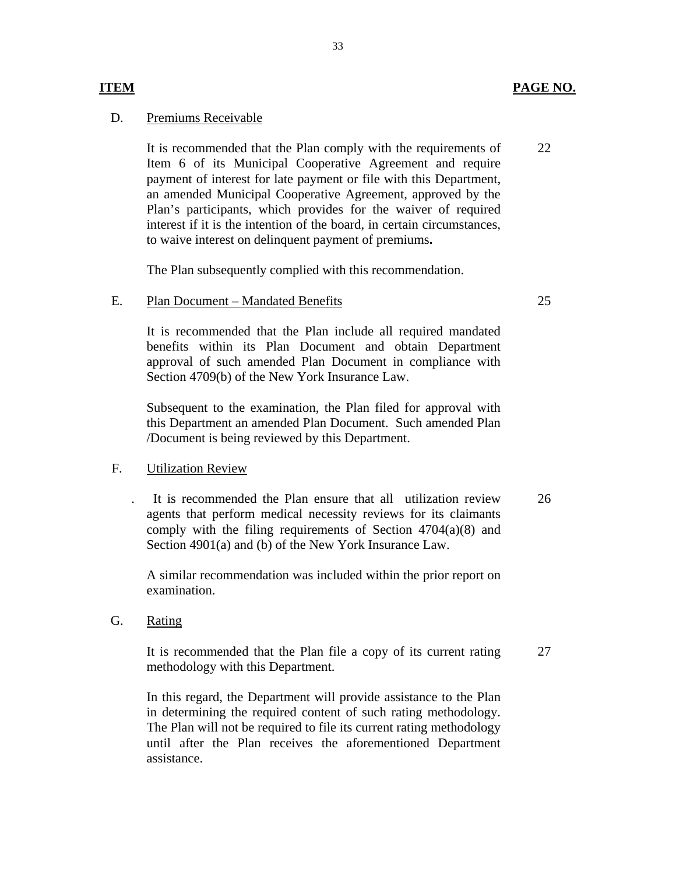### **ITEM PAGE NO.**

### D. Premiums Receivable

It is recommended that the Plan comply with the requirements of Item 6 of its Municipal Cooperative Agreement and require payment of interest for late payment or file with this Department, an amended Municipal Cooperative Agreement, approved by the Plan's participants, which provides for the waiver of required interest if it is the intention of the board, in certain circumstances, to waive interest on delinquent payment of premiums**.**  22

The Plan subsequently complied with this recommendation.

### E. Plan Document – Mandated Benefits

It is recommended that the Plan include all required mandated benefits within its Plan Document and obtain Department approval of such amended Plan Document in compliance with Section 4709(b) of the New York Insurance Law.

Subsequent to the examination, the Plan filed for approval with this Department an amended Plan Document. Such amended Plan /Document is being reviewed by this Department.

### F. Utilization Review

. It is recommended the Plan ensure that all utilization review agents that perform medical necessity reviews for its claimants comply with the filing requirements of Section  $4704(a)(8)$  and Section 4901(a) and (b) of the New York Insurance Law. 26

A similar recommendation was included within the prior report on examination.

Rating

G. Rating<br>It is recommended that the Plan file a copy of its current rating methodology with this Department.

In this regard, the Department will provide assistance to the Plan in determining the required content of such rating methodology. The Plan will not be required to file its current rating methodology until after the Plan receives the aforementioned Department assistance.

33

25

27